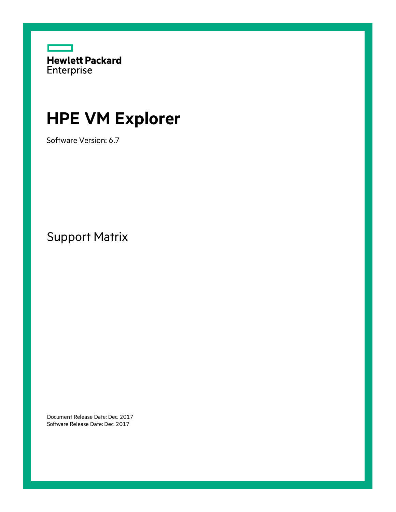

# **HPE VM Explorer**

Software Version: 6.7

Support Matrix

Document Release Date: Dec. 2017 Software Release Date: Dec. 2017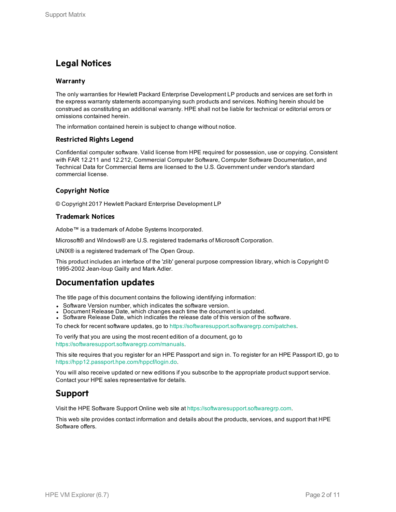### **Legal Notices**

#### **Warranty**

The only warranties for Hewlett Packard Enterprise Development LP products and services are set forth in the express warranty statements accompanying such products and services. Nothing herein should be construed as constituting an additional warranty. HPE shall not be liable for technical or editorial errors or omissions contained herein.

The information contained herein is subject to change without notice.

#### **Restricted Rights Legend**

Confidential computer software. Valid license from HPE required for possession, use or copying. Consistent with FAR 12.211 and 12.212, Commercial Computer Software, Computer Software Documentation, and Technical Data for Commercial Items are licensed to the U.S. Government under vendor's standard commercial license.

#### **Copyright Notice**

© Copyright 2017 Hewlett Packard Enterprise Development LP

#### **Trademark Notices**

Adobe™ is a trademark of Adobe Systems Incorporated.

Microsoft® and Windows® are U.S. registered trademarks of Microsoft Corporation.

UNIX® is a registered trademark of The Open Group.

This product includes an interface of the 'zlib' general purpose compression library, which is Copyright © 1995-2002 Jean-loup Gailly and Mark Adler.

### **Documentation updates**

The title page of this document contains the following identifying information:

- Software Version number, which indicates the software version.
- Document Release Date, which changes each time the document is updated.
- Software Release Date, which indicates the release date of this version of the software.

To check for recent software updates, go to <https://softwaresupport.softwaregrp.com/patches>.

To verify that you are using the most recent edition of a document, go to <https://softwaresupport.softwaregrp.com/manuals>.

This site requires that you register for an HPE Passport and sign in. To register for an HPE Passport ID, go to [https://hpp12.passport.hpe.com/hppcf/login.do.](https://hpp12.passport.hpe.com/hppcf/login.do)

You will also receive updated or new editions if you subscribe to the appropriate product support service. Contact your HPE sales representative for details.

### **Support**

Visit the HPE Software Support Online web site at [https://softwaresupport.softwaregrp.com.](https://softwaresupport.softwaregrp.com/)

This web site provides contact information and details about the products, services, and support that HPE Software offers.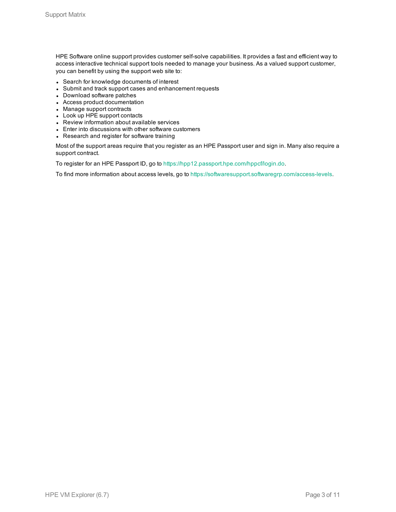HPE Software online support provides customer self-solve capabilities. It provides a fast and efficient way to access interactive technical support tools needed to manage your business. As a valued support customer, you can benefit by using the support web site to:

- Search for knowledge documents of interest
- Submit and track support cases and enhancement requests
- Download software patches
- Access product documentation
- Manage support contracts
- Look up HPE support contacts
- Review information about available services
- Enter into discussions with other software customers
- Research and register for software training

Most of the support areas require that you register as an HPE Passport user and sign in. Many also require a support contract.

To register for an HPE Passport ID, go to <https://hpp12.passport.hpe.com/hppcf/login.do>.

To find more information about access levels, go to [https://softwaresupport.softwaregrp.com/access-levels.](https://softwaresupport.softwaregrp.com/access-levels)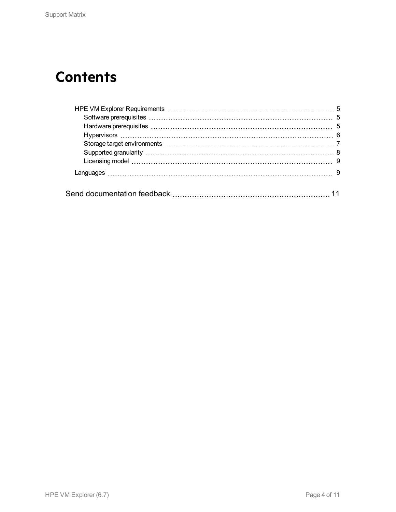# **Contents**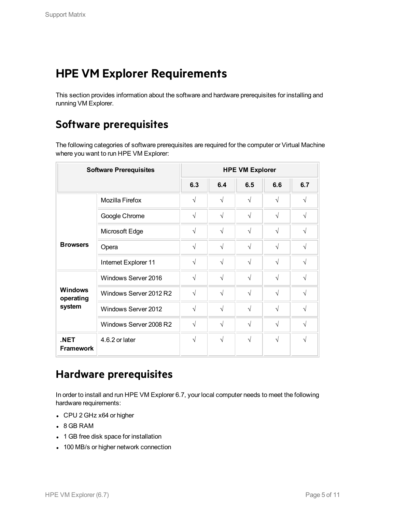# <span id="page-4-0"></span>**HPE VM Explorer Requirements**

<span id="page-4-1"></span>This section provides information about the software and hardware prerequisites for installing and running VM Explorer.

## **Software prerequisites**

The following categories of software prerequisites are required for the computer or Virtual Machine where you want to run HPE VM Explorer:

| <b>Software Prerequisites</b> |                        | <b>HPE VM Explorer</b> |            |            |            |            |  |
|-------------------------------|------------------------|------------------------|------------|------------|------------|------------|--|
|                               |                        | 6.3                    | 6.4        | 6.5        | 6.6        | 6.7        |  |
|                               | <b>Mozilla Firefox</b> | $\sqrt{}$              | $\sqrt{ }$ | $\sqrt{ }$ | $\sqrt{}$  | $\sqrt{ }$ |  |
| Google Chrome                 | $\sqrt{}$              | $\sqrt{ }$             | $\sqrt{ }$ | $\sqrt{}$  | $\sqrt{ }$ |            |  |
|                               | Microsoft Edge         | $\sqrt{}$              | $\sqrt{ }$ | $\sqrt{ }$ | $\sqrt{}$  | $\sqrt{}$  |  |
| <b>Browsers</b>               | Opera                  | $\sqrt{}$              | $\sqrt{ }$ | $\sqrt{ }$ | $\sqrt{}$  | $\sqrt{}$  |  |
|                               | Internet Explorer 11   | $\sqrt{}$              | $\sqrt{}$  | $\sqrt{ }$ | $\sqrt{}$  | $\sqrt{ }$ |  |
|                               | Windows Server 2016    | $\sqrt{}$              | $\sqrt{ }$ | $\sqrt{ }$ | $\sqrt{}$  | $\sqrt{ }$ |  |
| <b>Windows</b><br>operating   | Windows Server 2012 R2 | $\sqrt{2}$             | $\sqrt{ }$ | $\sqrt{ }$ | $\sqrt{}$  | $\sqrt{ }$ |  |
| system                        | Windows Server 2012    | $\sqrt{}$              | $\sqrt{ }$ | $\sqrt{ }$ | $\sqrt{}$  | $\sqrt{}$  |  |
|                               | Windows Server 2008 R2 | $\sqrt{}$              | $\sqrt{ }$ | $\sqrt{ }$ | $\sqrt{}$  | $\sqrt{ }$ |  |
| .NET<br><b>Framework</b>      | 4.6.2 or later         | $\sqrt{}$              | $\sqrt{ }$ | $\sqrt{ }$ | $\sqrt{ }$ | N          |  |

## <span id="page-4-2"></span>**Hardware prerequisites**

In order to install and run HPE VM Explorer 6.7, your local computer needs to meet the following hardware requirements:

- CPU 2 GHz x64 or higher
- $-8$  GB RAM
- 1 GB free disk space for installation
- 100 MB/s or higher network connection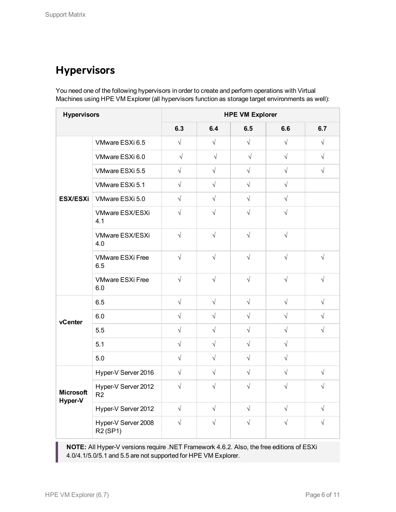## <span id="page-5-0"></span>**Hypervisors**

You need one of the following hypervisors in order to create and perform operations with Virtual Machines using HPE VM Explorer (all hypervisors function as storage target environments as well):

| <b>Hypervisors</b>          |                                                          | <b>HPE VM Explorer</b> |            |            |            |            |  |  |
|-----------------------------|----------------------------------------------------------|------------------------|------------|------------|------------|------------|--|--|
|                             |                                                          | 6.3                    | 6.4        | 6.5        | 6.6        | 6.7        |  |  |
|                             | VMware ESXi 6.5                                          | $\sqrt{}$              | $\sqrt{ }$ | $\sqrt{}$  | $\sqrt{ }$ | $\sqrt{}$  |  |  |
|                             | VMware ESXi 6.0                                          | $\sqrt{ }$             | $\sqrt{ }$ | $\sqrt{ }$ | $\sqrt{ }$ | $\sqrt{ }$ |  |  |
|                             | VMware ESXi 5.5                                          | $\sqrt{}$              | $\sqrt{ }$ | $\sqrt{ }$ | $\sqrt{ }$ | $\sqrt{ }$ |  |  |
|                             | VMware ESXi 5.1                                          | $\sqrt{}$              | $\sqrt{ }$ | $\sqrt{ }$ | $\sqrt{}$  |            |  |  |
| <b>ESX/ESXi</b>             | VMware ESXi 5.0                                          | $\sqrt{}$              | $\sqrt{ }$ | $\sqrt{ }$ | $\sqrt{ }$ |            |  |  |
|                             | VMware ESX/ESXi<br>4.1                                   | $\sqrt{ }$             | $\sqrt{ }$ | $\sqrt{ }$ | $\sqrt{ }$ |            |  |  |
|                             | VMware ESX/ESXi<br>4.0                                   | $\sqrt{ }$             | $\sqrt{ }$ | $\sqrt{ }$ | $\sqrt{ }$ |            |  |  |
|                             | <b>VMware ESXi Free</b><br>6.5                           | $\sqrt{ }$             | $\sqrt{ }$ | $\sqrt{ }$ | $\sqrt{ }$ | $\sqrt{ }$ |  |  |
|                             | <b>VMware ESXi Free</b><br>6.0                           | $\sqrt{ }$             | $\sqrt{ }$ | $\sqrt{ }$ | $\sqrt{ }$ | $\sqrt{ }$ |  |  |
|                             | 6.5                                                      | $\sqrt{ }$             | $\sqrt{ }$ | $\sqrt{ }$ | $\sqrt{ }$ | $\sqrt{ }$ |  |  |
| vCenter                     | 6.0                                                      | $\sqrt{ }$             | $\sqrt{ }$ | $\sqrt{ }$ | $\sqrt{ }$ | $\sqrt{}$  |  |  |
|                             | 5.5                                                      | $\sqrt{ }$             | $\sqrt{ }$ | $\sqrt{ }$ | $\sqrt{ }$ | $\sqrt{}$  |  |  |
|                             | 5.1                                                      | $\sqrt{}$              | $\sqrt{ }$ | $\sqrt{ }$ | $\sqrt{}$  |            |  |  |
|                             | 5.0                                                      | $\sqrt{ }$             | $\sqrt{ }$ | $\sqrt{ }$ | $\sqrt{}$  |            |  |  |
|                             | Hyper-V Server 2016                                      | $\sqrt{ }$             | $\sqrt{ }$ | $\sqrt{ }$ | $\sqrt{ }$ | $\sqrt{ }$ |  |  |
| <b>Microsoft</b><br>Hyper-V | Hyper-V Server 2012<br>R <sub>2</sub>                    | $\sqrt{ }$             | $\sqrt{ }$ | $\sqrt{ }$ | $\sqrt{2}$ | $\sqrt{ }$ |  |  |
|                             | Hyper-V Server 2012                                      | $\sqrt{ }$             | $\sqrt{ }$ | $\sqrt{ }$ | $\sqrt{ }$ | $\sqrt{ }$ |  |  |
|                             | Hyper-V Server 2008<br>R <sub>2</sub> (SP <sub>1</sub> ) | $\sqrt{}$              | $\sqrt{ }$ | $\sqrt{}$  | $\sqrt{}$  | $\sqrt{}$  |  |  |

**NOTE:** All Hyper-V versions require .NET Framework 4.6.2. Also, the free editions of ESXi 4.0/4.1/5.0/5.1 and 5.5 are not supported for HPE VM Explorer.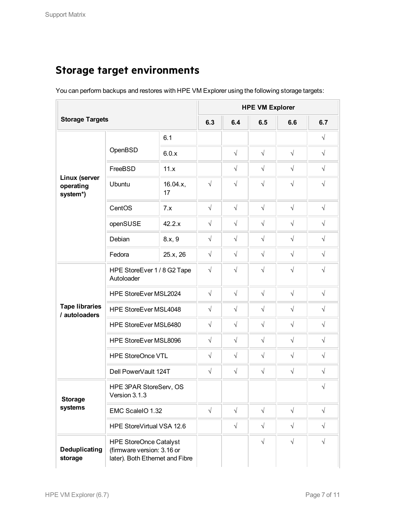# <span id="page-6-0"></span>**Storage target environments**

You can perform backups and restores with HPE VM Explorer using the following storage targets:

|                                        |                                                                                                | <b>HPE VM Explorer</b> |            |            |            |            |            |
|----------------------------------------|------------------------------------------------------------------------------------------------|------------------------|------------|------------|------------|------------|------------|
| <b>Storage Targets</b>                 |                                                                                                |                        | 6.3        | 6.4        | 6.5        | 6.6        | 6.7        |
|                                        |                                                                                                | 6.1                    |            |            |            |            | $\sqrt{}$  |
|                                        | OpenBSD                                                                                        | 6.0.x                  |            | $\sqrt{}$  | $\sqrt{}$  | $\sqrt{}$  | $\sqrt{}$  |
|                                        | FreeBSD                                                                                        | 11.x                   |            | $\sqrt{}$  | $\sqrt{}$  | $\sqrt{}$  | $\sqrt{}$  |
| Linux (server<br>operating<br>system*) | Ubuntu                                                                                         | 16.04.x,<br>17         | $\sqrt{}$  | $\sqrt{}$  | $\sqrt{}$  | $\sqrt{}$  | $\sqrt{}$  |
|                                        | CentOS                                                                                         | 7.x                    | $\sqrt{}$  | $\sqrt{2}$ | $\sqrt{}$  | $\sqrt{}$  | $\sqrt{}$  |
|                                        | openSUSE                                                                                       | 42.2.x                 | $\sqrt{}$  | $\sqrt{2}$ | $\sqrt{}$  | $\sqrt{}$  | $\sqrt{}$  |
|                                        | Debian                                                                                         | 8.x, 9                 | $\sqrt{}$  | $\sqrt{2}$ | $\sqrt{}$  | $\sqrt{}$  | $\sqrt{}$  |
|                                        | Fedora                                                                                         | 25.x, 26               | $\sqrt{}$  | $\sqrt{2}$ | $\sqrt{}$  | $\sqrt{}$  | $\sqrt{}$  |
| <b>Tape libraries</b><br>/ autoloaders | HPE StoreEver 1/8 G2 Tape<br>Autoloader                                                        |                        | $\sqrt{}$  | $\sqrt{}$  | $\sqrt{}$  | $\sqrt{2}$ | $\sqrt{}$  |
|                                        | HPE StoreEver MSL2024                                                                          |                        | $\sqrt{}$  | $\sqrt{}$  | $\sqrt{}$  | $\sqrt{}$  | $\sqrt{}$  |
|                                        | HPE StoreEver MSL4048                                                                          |                        | $\sqrt{}$  | $\sqrt{}$  | $\sqrt{}$  | $\sqrt{}$  | $\sqrt{}$  |
|                                        | HPE StoreEver MSL6480                                                                          |                        | $\sqrt{}$  | $\sqrt{}$  | $\sqrt{}$  | $\sqrt{}$  | $\sqrt{}$  |
|                                        | HPE StoreEver MSL8096                                                                          |                        | $\sqrt{}$  | $\sqrt{}$  | $\sqrt{}$  | $\sqrt{}$  | $\sqrt{}$  |
|                                        | <b>HPE StoreOnce VTL</b>                                                                       |                        | $\sqrt{}$  | $\sqrt{2}$ | $\sqrt{}$  | $\sqrt{2}$ | $\sqrt{}$  |
|                                        | Dell PowerVault 124T                                                                           |                        | $\sqrt{}$  | $\sqrt{2}$ | $\sqrt{}$  | $\sqrt{}$  | $\sqrt{}$  |
| <b>Storage</b>                         | HPE 3PAR StoreServ, OS<br>Version 3.1.3                                                        |                        |            |            |            |            | $\sqrt{ }$ |
| systems                                | EMC ScaleIO 1.32                                                                               |                        | $\sqrt{ }$ | $\sqrt{}$  | $\sqrt{ }$ | $\sqrt{}$  | $\sqrt{}$  |
|                                        | HPE StoreVirtual VSA 12.6                                                                      |                        |            | $\sqrt{}$  | $\sqrt{}$  | $\sqrt{}$  | $\sqrt{ }$ |
| Deduplicating<br>storage               | <b>HPE StoreOnce Catalyst</b><br>(firmware version: 3.16 or<br>later). Both Ethernet and Fibre |                        |            |            | $\sqrt{}$  | $\sqrt{ }$ | $\sqrt{}$  |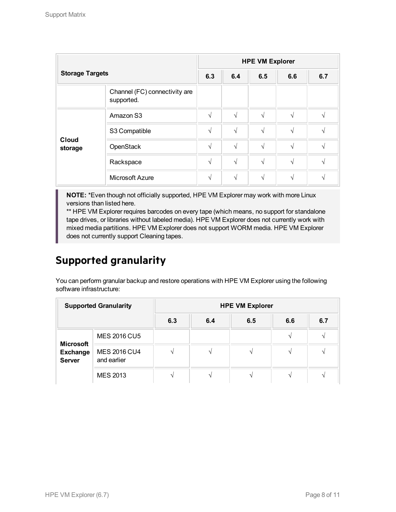| <b>Storage Targets</b>  |                                             | <b>HPE VM Explorer</b> |            |     |     |     |  |
|-------------------------|---------------------------------------------|------------------------|------------|-----|-----|-----|--|
|                         |                                             | 6.3                    | 6.4        | 6.5 | 6.6 | 6.7 |  |
|                         | Channel (FC) connectivity are<br>supported. |                        |            |     |     |     |  |
|                         | Amazon S3                                   | $\sqrt{}$              | $\sqrt{ }$ | V   | V   | V   |  |
|                         | S3 Compatible                               | $\sqrt{}$              | $\sqrt{ }$ | N   | V   | N   |  |
| <b>Cloud</b><br>storage | OpenStack                                   | V                      | V          | N   | V   | V   |  |
|                         | Rackspace                                   | $\sqrt{}$              | $\sqrt{ }$ | N   | N   | N   |  |
|                         | Microsoft Azure                             | V                      | $\sqrt{}$  | N   | N   | N   |  |

**NOTE:** \*Even though not officially supported, HPE VM Explorer may work with more Linux versions than listed here.

\*\* HPE VM Explorer requires barcodes on every tape (which means, no support for standalone tape drives, or libraries without labeled media). HPE VM Explorer does not currently work with mixed media partitions. HPE VM Explorer does not support WORM media. HPE VM Explorer does not currently support Cleaning tapes.

## <span id="page-7-0"></span>**Supported granularity**

You can perform granular backup and restore operations with HPE VM Explorer using the following software infrastructure:

| <b>Supported Granularity</b>                         |                                    | <b>HPE VM Explorer</b> |     |     |     |     |  |  |
|------------------------------------------------------|------------------------------------|------------------------|-----|-----|-----|-----|--|--|
|                                                      |                                    | 6.3                    | 6.4 | 6.5 | 6.6 | 6.7 |  |  |
|                                                      | <b>MES 2016 CU5</b>                |                        |     |     |     |     |  |  |
| <b>Microsoft</b><br><b>Exchange</b><br><b>Server</b> | <b>MES 2016 CU4</b><br>and earlier |                        |     |     |     |     |  |  |
|                                                      | <b>MES 2013</b>                    |                        |     |     |     |     |  |  |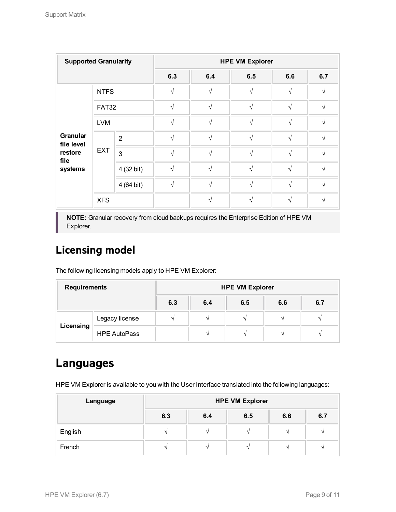| <b>Supported Granularity</b>  |              | <b>HPE VM Explorer</b> |              |                         |                   |               |               |  |
|-------------------------------|--------------|------------------------|--------------|-------------------------|-------------------|---------------|---------------|--|
|                               |              |                        | 6.3          | 6.4                     | 6.5               | 6.6           | 6.7           |  |
|                               | <b>NTFS</b>  |                        | V            | V                       | اد                | N             | ٦Ι            |  |
|                               | <b>FAT32</b> |                        | N            | N                       | $\sqrt{ }$        | $\sqrt{ }$    | N             |  |
|                               | <b>LVM</b>   |                        | $\sqrt{ }$   | $\overline{\mathbf{v}}$ | $\mathbf{\hat{}}$ | $\sqrt{ }$    | ٦             |  |
| <b>Granular</b><br>file level | <b>EXT</b>   | $\overline{2}$         | N            | N                       | $\mathcal{A}$     | $\mathcal{L}$ | $\mathcal{L}$ |  |
| restore<br>file               |              | $\mathbf{3}$           | N            | V                       | N                 | $\sqrt{ }$    | ٦Ι            |  |
| systems                       |              | 4 (32 bit)             | N            | N                       | $\sqrt{ }$        | $\sqrt{ }$    | N             |  |
|                               |              | 4 (64 bit)             | $\mathbf{v}$ | À,                      |                   |               |               |  |
|                               | <b>XFS</b>   |                        |              |                         |                   |               |               |  |

**NOTE:** Granular recovery from cloud backups requires the Enterprise Edition of HPE VM Explorer.

## <span id="page-8-0"></span>**Licensing model**

The following licensing models apply to HPE VM Explorer:

| <b>Requirements</b> |                     | <b>HPE VM Explorer</b> |     |     |     |     |  |  |
|---------------------|---------------------|------------------------|-----|-----|-----|-----|--|--|
|                     |                     | 6.3                    | 6.4 | 6.5 | 6.6 | 6.7 |  |  |
| Licensing           | Legacy license      |                        |     |     |     |     |  |  |
|                     | <b>HPE AutoPass</b> |                        |     |     |     |     |  |  |

# <span id="page-8-1"></span>**Languages**

HPE VM Explorer is available to you with the User Interface translated into the following languages:

| Language | <b>HPE VM Explorer</b> |     |     |     |        |  |  |
|----------|------------------------|-----|-----|-----|--------|--|--|
|          | 6.3                    | 6.4 | 6.5 | 6.6 | 6.7    |  |  |
| English  |                        |     |     |     |        |  |  |
| French   | -                      |     |     |     | $\sim$ |  |  |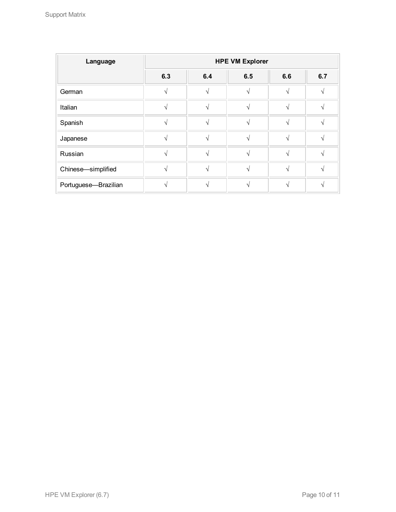| Language             | <b>HPE VM Explorer</b> |     |               |     |     |  |
|----------------------|------------------------|-----|---------------|-----|-----|--|
|                      | 6.3                    | 6.4 | 6.5           | 6.6 | 6.7 |  |
| German               |                        |     |               |     |     |  |
| Italian              |                        |     | $\mathcal{L}$ |     |     |  |
| Spanish              |                        |     | $\Delta$      |     |     |  |
| Japanese             |                        |     | $\mathbf{A}$  |     |     |  |
| Russian              |                        |     | $\Delta$      |     |     |  |
| Chinese-simplified   |                        |     |               |     |     |  |
| Portuguese-Brazilian |                        |     |               |     |     |  |